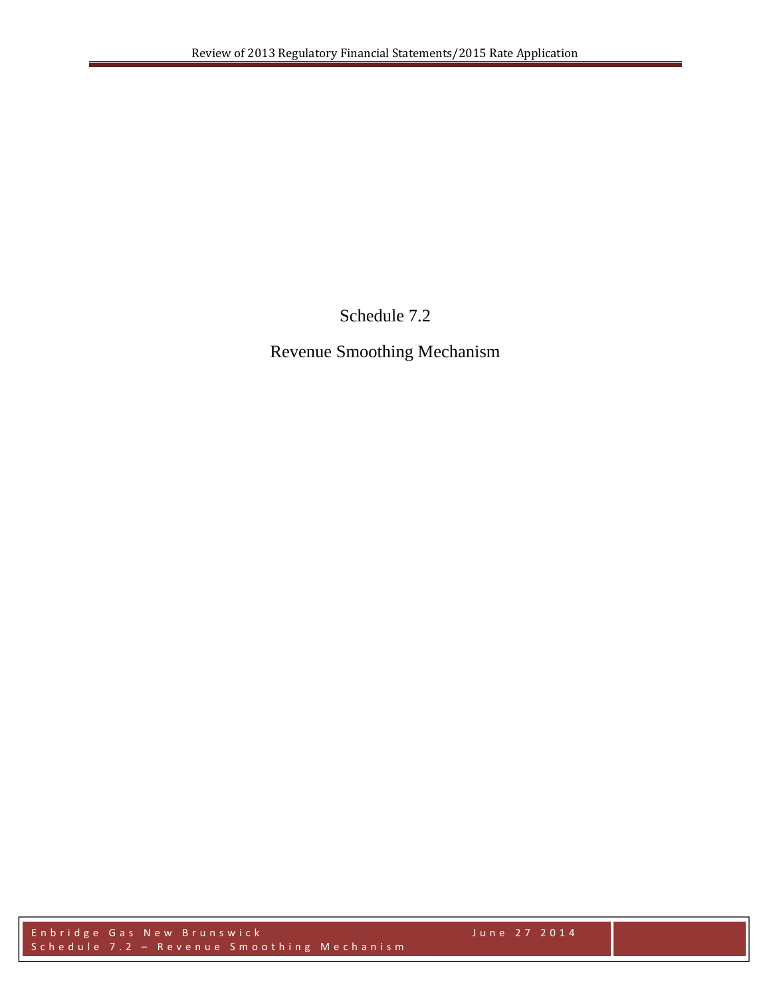Schedule 7.2

Revenue Smoothing Mechanism